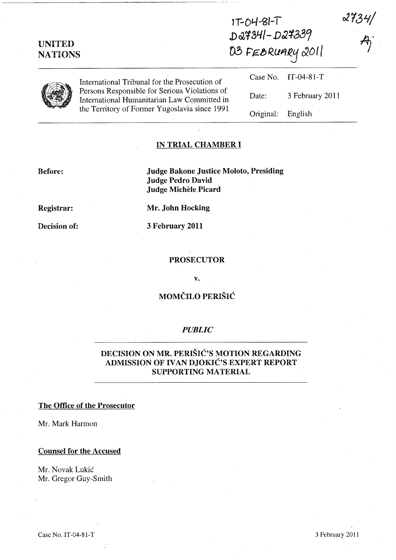| <b>UNITED</b><br><b>NATIONS</b> |                                                                                                                                               | $1T-04-8I-1$<br>D27341-D27339<br>03 FEBRUARY 2011 |                 | $\propto$ TeV $7/$ |
|---------------------------------|-----------------------------------------------------------------------------------------------------------------------------------------------|---------------------------------------------------|-----------------|--------------------|
|                                 | International Tribunal for the Prosecution of                                                                                                 | Case No.                                          | $IT-04-81-T$    |                    |
|                                 | Persons Responsible for Serious Violations of<br>International Humanitarian Law Committed in<br>the Territory of Former Yugoslavia since 1991 | Date:                                             | 3 February 2011 |                    |
|                                 |                                                                                                                                               | Original:                                         | English         |                    |

# IN TRIAL CHAMBER I

#### Before:

Judge Bakone Justice Moloto, Presiding Judge Pedro David Judge Michèle Picard

Registrar:

Mr. John Hocking

3 February 2011

Decision of:

#### PROSECUTOR

v.

# MOMČILO PERIŠIĆ

# *PUBLIC*

# DECISION ON MR. PERISIC'S MOTION REGARDING ADMISSION OF IVAN DJOKIĆ'S EXPERT REPORT SUPPORTING MATERIAL

#### The Office of the Prosecutor

Mr. Mark Harmon

#### Counsel for the Accused

Mr. Novak Lukic Mr. Gregor Guy-Smith  $3424/$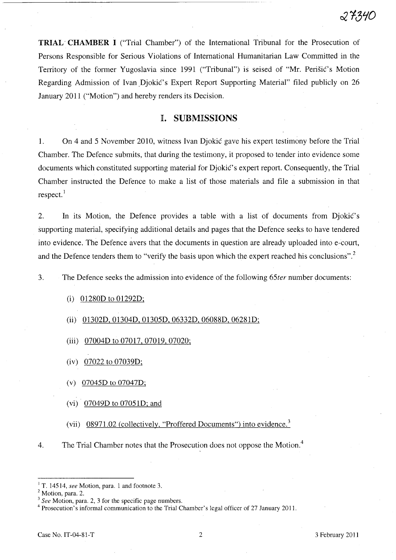TRIAL- CHAMBER I ("Trial Chamber") of the International Tribunal for the Prosecution of Persons Responsible for Serious Violations of International Humanitarian Law Committed in the Territory of the former Yugoslavia since 1991 ("Tribunal") is seised of "Mr. Perišić's Motion Regarding Admission of Ivan Djokić's Expert Report Supporting Material" filed publicly on 26 January 2011 ("Motion") and hereby renders its Decision.

### I. SUBMISSIONS

1. On 4 and 5 November 2010, witness Ivan Djokic gave his expert testimony before the Trial Chamber. The Defence submits, that during the testimony, it proposed to tender into evidence some documents which constituted supporting material for Djokić's expert report. Consequently, the Trial Chamber instructed the Defence to make a list of those materials and file a submission in that respect.<sup>1</sup>

2. In its Motion, the Defence provides a table with a list of documents from Djokić's supporting material, specifying additional details and pages that the Defence seeks to have tendered into evidence. The Defence avers that the documents in question are already uploaded into e-court, and the Defence tenders them to "verify the basis upon which the expert reached his conclusions".<sup>2</sup>

3. The Defence seeks the admission into evidence of the following *65ter* number documents:

#### (i) 01280D to 01292D;

- (ii) 01302D, 01304D, 01305D, 06332D, 06088D, 06281D;
- (iii) 07004D to 07017, 07019, 07020;
- (iv) 07022 to 07039D;
- (v) 07045D to 07047D;
- (vi) 07049D to 07051D; and
- (vii)  $08971.02$  (collectively, "Proffered Documents") into evidence.<sup>3</sup>
- 4. The Trial Chamber notes that the Prosecution does not oppose the Motion.<sup>4</sup>

4 Prosecution's informal communication to the Trial Chamber's legal officer of 27 January 2011.

<sup>&</sup>lt;sup>1</sup> T. 14514, *see* Motion, para. 1 and footnote 3.

<sup>&</sup>lt;sup>2</sup> Motion, para. 2.

<sup>3</sup>*See* Motion, para. 2, 3 for the specific page numbers.